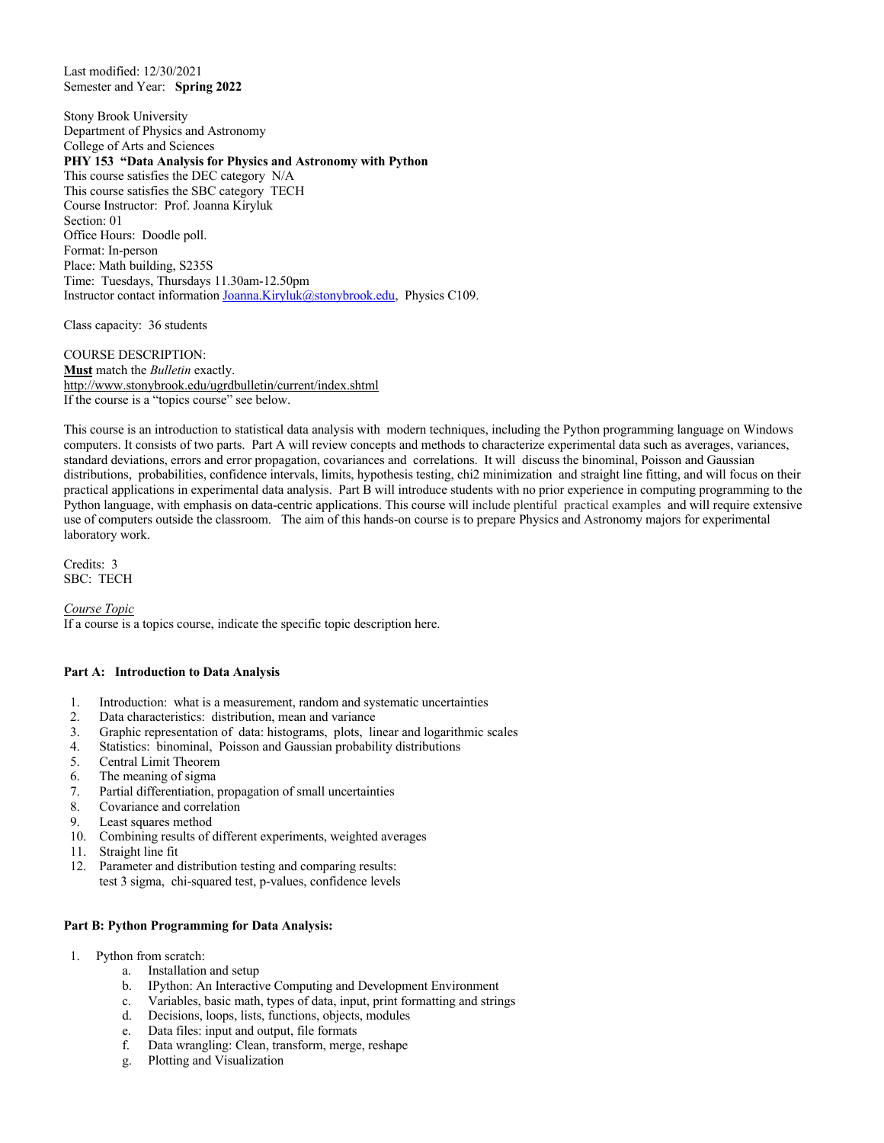Last modified: 12/30/2021 Semester and Year: **Spring 2022**

Stony Brook University Department of Physics and Astronomy College of Arts and Sciences **PHY 153 "Data Analysis for Physics and Astronomy with Python** This course satisfies the DEC category N/A This course satisfies the SBC category TECH Course Instructor: Prof. Joanna Kiryluk Section: 01 Office Hours: Doodle poll. Format: In-person Place: Math building, S235S Time: Tuesdays, Thursdays 11.30am-12.50pm Instructor contact information Joanna.Kiryluk@stonybrook.edu, Physics C109.

Class capacity: 36 students

COURSE DESCRIPTION: **Must** match the *Bulletin* exactly. http://www.stonybrook.edu/ugrdbulletin/current/index.shtml If the course is a "topics course" see below.

This course is an introduction to statistical data analysis with modern techniques, including the Python programming language on Windows computers. It consists of two parts. Part A will review concepts and methods to characterize experimental data such as averages, variances, standard deviations, errors and error propagation, covariances and correlations. It will discuss the binominal, Poisson and Gaussian distributions, probabilities, confidence intervals, limits, hypothesis testing, chi2 minimization and straight line fitting, and will focus on their practical applications in experimental data analysis. Part B will introduce students with no prior experience in computing programming to the Python language, with emphasis on data-centric applications. This course will include plentiful practical examples and will require extensive use of computers outside the classroom. The aim of this hands-on course is to prepare Physics and Astronomy majors for experimental laboratory work.

Credits: 3 SBC: TECH

*Course Topic* If a course is a topics course, indicate the specific topic description here.

## **Part A: Introduction to Data Analysis**

- 1. Introduction: what is a measurement, random and systematic uncertainties
- 2. Data characteristics: distribution, mean and variance
- 3. Graphic representation of data: histograms, plots, linear and logarithmic scales
- 4. Statistics: binominal, Poisson and Gaussian probability distributions
- 5. Central Limit Theorem
- 6. The meaning of sigma
- 7. Partial differentiation, propagation of small uncertainties
- 8. Covariance and correlation
- 9. Least squares method
- 10. Combining results of different experiments, weighted averages
- 11. Straight line fit
- 12. Parameter and distribution testing and comparing results: test 3 sigma, chi-squared test, p-values, confidence levels

## **Part B: Python Programming for Data Analysis:**

- 1. Python from scratch:
	- a. Installation and setup
	- b. IPython: An Interactive Computing and Development Environment
	- c. Variables, basic math, types of data, input, print formatting and strings
	- Decisions, loops, lists, functions, objects, modules
	- e. Data files: input and output, file formats
	- f. Data wrangling: Clean, transform, merge, reshape
	- g. Plotting and Visualization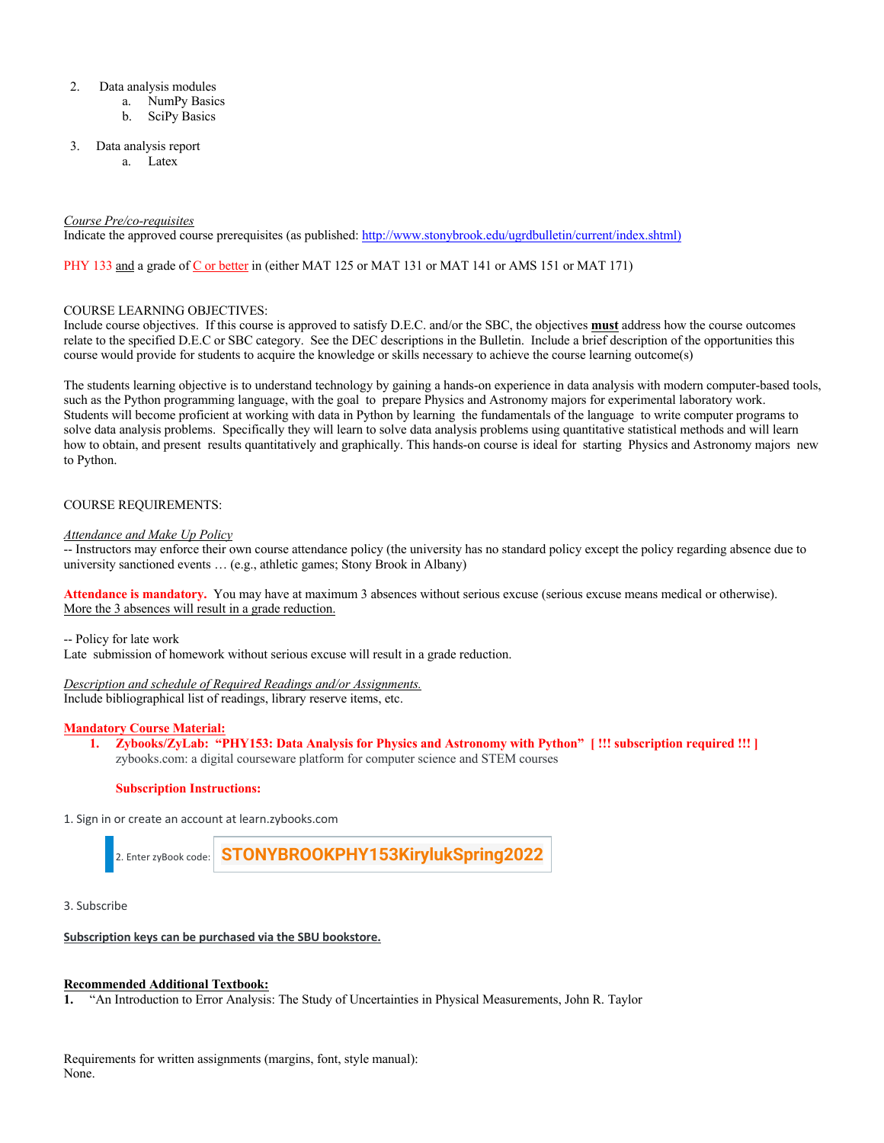- 2. Data analysis modules
	- a. NumPy Basics
	- b. SciPy Basics
- 3. Data analysis report
	- a. Latex

#### *Course Pre/co-requisites*

Indicate the approved course prerequisites (as published: http://www.stonybrook.edu/ugrdbulletin/current/index.shtml)

PHY 133 and a grade of C or better in (either MAT 125 or MAT 131 or MAT 141 or AMS 151 or MAT 171)

#### COURSE LEARNING OBJECTIVES:

Include course objectives. If this course is approved to satisfy D.E.C. and/or the SBC, the objectives **must** address how the course outcomes relate to the specified D.E.C or SBC category. See the DEC descriptions in the Bulletin. Include a brief description of the opportunities this course would provide for students to acquire the knowledge or skills necessary to achieve the course learning outcome(s)

The students learning objective is to understand technology by gaining a hands-on experience in data analysis with modern computer-based tools, such as the Python programming language, with the goal to prepare Physics and Astronomy majors for experimental laboratory work. Students will become proficient at working with data in Python by learning the fundamentals of the language to write computer programs to solve data analysis problems. Specifically they will learn to solve data analysis problems using quantitative statistical methods and will learn how to obtain, and present results quantitatively and graphically. This hands-on course is ideal for starting Physics and Astronomy majors new to Python.

## COURSE REQUIREMENTS:

#### *Attendance and Make Up Policy*

-- Instructors may enforce their own course attendance policy (the university has no standard policy except the policy regarding absence due to university sanctioned events … (e.g., athletic games; Stony Brook in Albany)

**Attendance is mandatory.** You may have at maximum 3 absences without serious excuse (serious excuse means medical or otherwise). More the 3 absences will result in a grade reduction.

-- Policy for late work

Late submission of homework without serious excuse will result in a grade reduction.

#### *Description and schedule of Required Readings and/or Assignments.*

Include bibliographical list of readings, library reserve items, etc.

## **Mandatory Course Material:**

**1. Zybooks/ZyLab: "PHY153: Data Analysis for Physics and Astronomy with Python" [ !!! subscription required !!! ]** zybooks.com: a digital courseware platform for computer science and STEM courses

#### **Subscription Instructions:**

1. Sign in or create an account at learn.zybooks.com



3. Subscribe

## **Subscription keys can be purchased via the SBU bookstore.**

#### **Recommended Additional Textbook:**

**1.** "An Introduction to Error Analysis: The Study of Uncertainties in Physical Measurements, John R. Taylor

Requirements for written assignments (margins, font, style manual): None.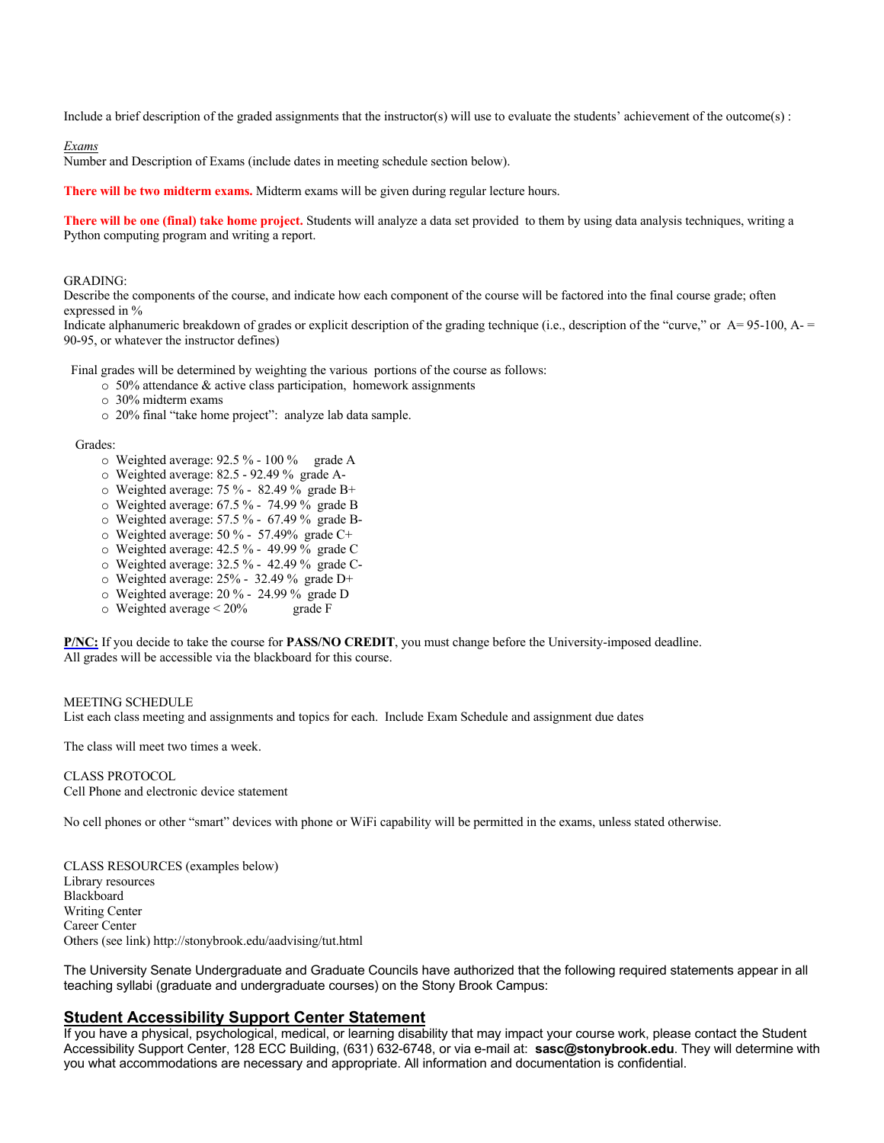Include a brief description of the graded assignments that the instructor(s) will use to evaluate the students' achievement of the outcome(s) :

*Exams*

Number and Description of Exams (include dates in meeting schedule section below).

**There will be two midterm exams.** Midterm exams will be given during regular lecture hours.

**There will be one (final) take home project.** Students will analyze a data set provided to them by using data analysis techniques, writing a Python computing program and writing a report.

#### GRADING:

Describe the components of the course, and indicate how each component of the course will be factored into the final course grade; often expressed in %

Indicate alphanumeric breakdown of grades or explicit description of the grading technique (i.e., description of the "curve," or A= 95-100, A- = 90-95, or whatever the instructor defines)

Final grades will be determined by weighting the various portions of the course as follows:

- o 50% attendance & active class participation, homework assignments
- o 30% midterm exams
- o 20% final "take home project": analyze lab data sample.

#### Grades:

- o Weighted average: 92.5 % 100 % grade A
- o Weighted average: 82.5 92.49 % grade A-
- o Weighted average: 75 % 82.49 % grade B+
- o Weighted average: 67.5 % 74.99 % grade B
- o Weighted average: 57.5 % 67.49 % grade B-
- o Weighted average: 50 % 57.49% grade C+
- o Weighted average: 42.5 % 49.99 % grade C
- o Weighted average: 32.5 % 42.49 % grade C-
- o Weighted average: 25% 32.49 % grade D+
- $\circ$  Weighted average: 20 % 24.99 % grade D<br> $\circ$  Weighted average < 20% grade F
- $\circ$  Weighted average  $\leq 20\%$

**P/NC:** If you decide to take the course for **PASS/NO CREDIT**, you must change before the University-imposed deadline. All grades will be accessible via the blackboard for this course.

MEETING SCHEDULE List each class meeting and assignments and topics for each. Include Exam Schedule and assignment due dates

The class will meet two times a week.

CLASS PROTOCOL Cell Phone and electronic device statement

No cell phones or other "smart" devices with phone or WiFi capability will be permitted in the exams, unless stated otherwise.

CLASS RESOURCES (examples below) Library resources Blackboard Writing Center Career Center Others (see link) http://stonybrook.edu/aadvising/tut.html

The University Senate Undergraduate and Graduate Councils have authorized that the following required statements appear in all teaching syllabi (graduate and undergraduate courses) on the Stony Brook Campus:

## **Student Accessibility Support Center Statement**

If you have a physical, psychological, medical, or learning disability that may impact your course work, please contact the Student Accessibility Support Center, 128 ECC Building, (631) 632-6748, or via e-mail at: **sasc@stonybrook.edu**. They will determine with you what accommodations are necessary and appropriate. All information and documentation is confidential.